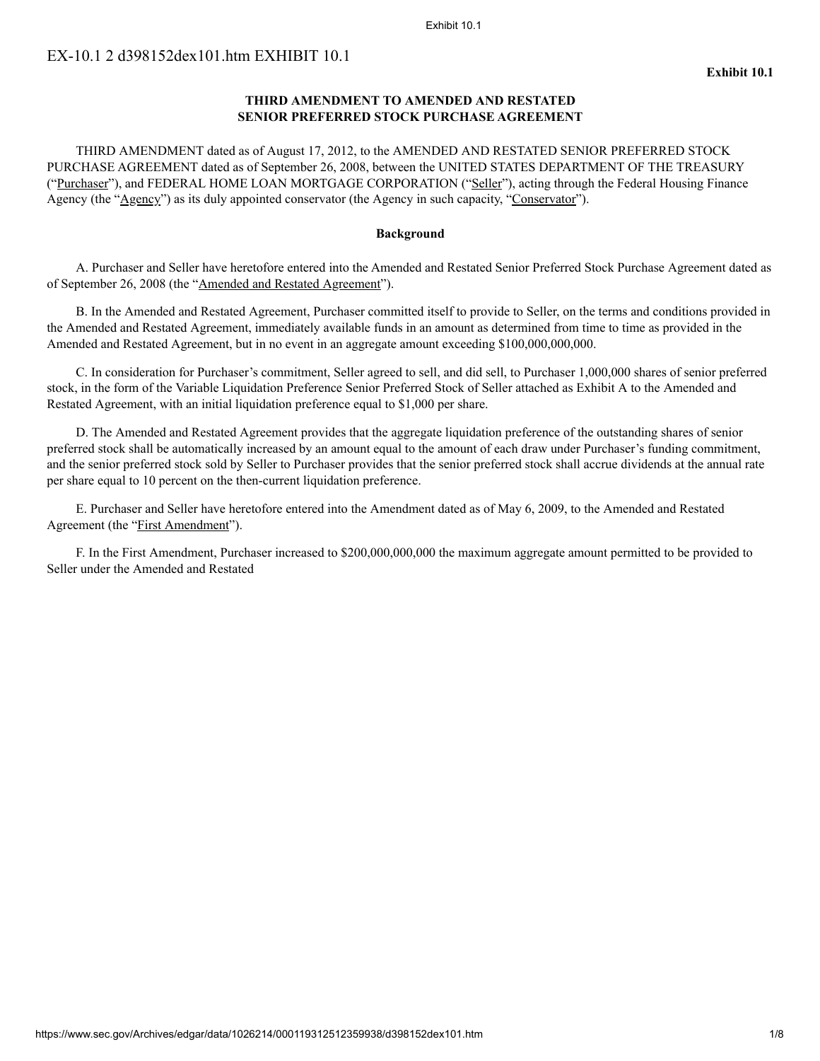#### Exhibit 10.1

# **THIRD AMENDMENT TO AMENDED AND RESTATED SENIOR PREFERRED STOCK PURCHASE AGREEMENT**

THIRD AMENDMENT dated as of August 17, 2012, to the AMENDED AND RESTATED SENIOR PREFERRED STOCK PURCHASE AGREEMENT dated as of September 26, 2008, between the UNITED STATES DEPARTMENT OF THE TREASURY ("Purchaser"), and FEDERAL HOME LOAN MORTGAGE CORPORATION ("Seller"), acting through the Federal Housing Finance Agency (the "Agency") as its duly appointed conservator (the Agency in such capacity, "Conservator").

## **Background**

A. Purchaser and Seller have heretofore entered into the Amended and Restated Senior Preferred Stock Purchase Agreement dated as of September 26, 2008 (the "Amended and Restated Agreement").

B. In the Amended and Restated Agreement, Purchaser committed itself to provide to Seller, on the terms and conditions provided in the Amended and Restated Agreement, immediately available funds in an amount as determined from time to time as provided in the Amended and Restated Agreement, but in no event in an aggregate amount exceeding \$100,000,000,000.

C. In consideration for Purchaser's commitment, Seller agreed to sell, and did sell, to Purchaser 1,000,000 shares of senior preferred stock, in the form of the Variable Liquidation Preference Senior Preferred Stock of Seller attached as Exhibit A to the Amended and Restated Agreement, with an initial liquidation preference equal to \$1,000 per share.

D. The Amended and Restated Agreement provides that the aggregate liquidation preference of the outstanding shares of senior preferred stock shall be automatically increased by an amount equal to the amount of each draw under Purchaser's funding commitment, and the senior preferred stock sold by Seller to Purchaser provides that the senior preferred stock shall accrue dividends at the annual rate per share equal to 10 percent on the then-current liquidation preference.

E. Purchaser and Seller have heretofore entered into the Amendment dated as of May 6, 2009, to the Amended and Restated Agreement (the "First Amendment").

F. In the First Amendment, Purchaser increased to \$200,000,000,000 the maximum aggregate amount permitted to be provided to Seller under the Amended and Restated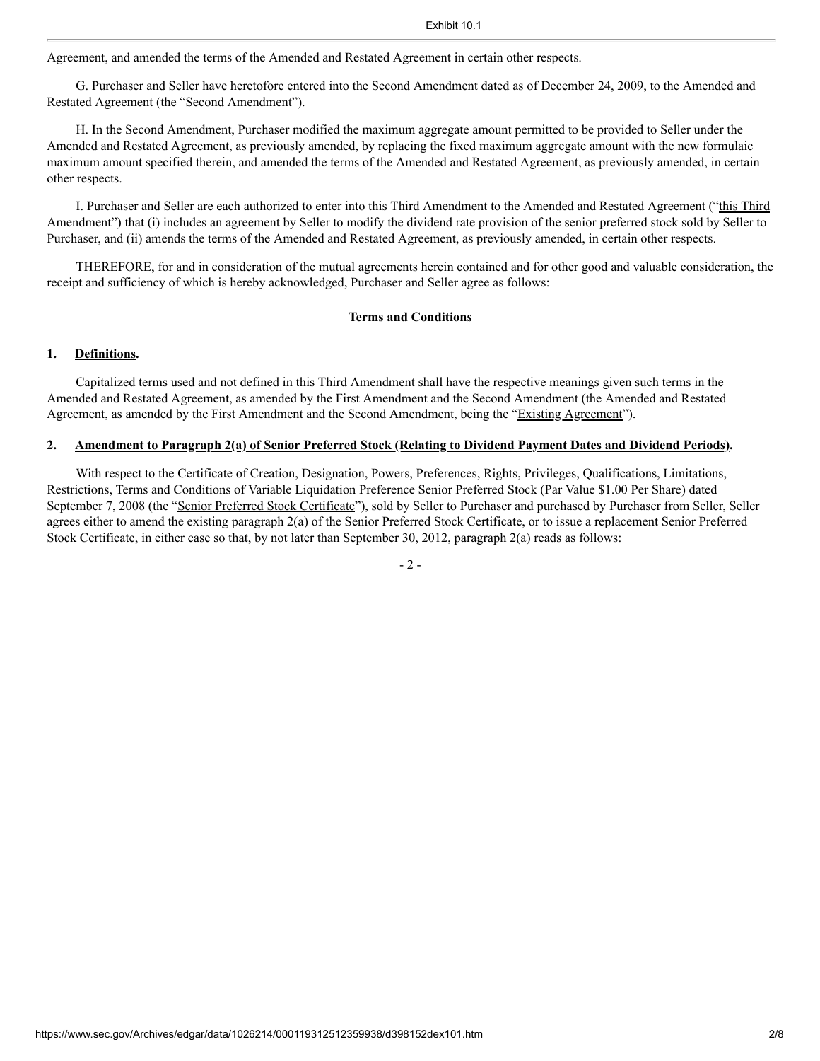Agreement, and amended the terms of the Amended and Restated Agreement in certain other respects.

G. Purchaser and Seller have heretofore entered into the Second Amendment dated as of December 24, 2009, to the Amended and Restated Agreement (the "Second Amendment").

H. In the Second Amendment, Purchaser modified the maximum aggregate amount permitted to be provided to Seller under the Amended and Restated Agreement, as previously amended, by replacing the fixed maximum aggregate amount with the new formulaic maximum amount specified therein, and amended the terms of the Amended and Restated Agreement, as previously amended, in certain other respects.

I. Purchaser and Seller are each authorized to enter into this Third Amendment to the Amended and Restated Agreement ("this Third Amendment") that (i) includes an agreement by Seller to modify the dividend rate provision of the senior preferred stock sold by Seller to Purchaser, and (ii) amends the terms of the Amended and Restated Agreement, as previously amended, in certain other respects.

THEREFORE, for and in consideration of the mutual agreements herein contained and for other good and valuable consideration, the receipt and sufficiency of which is hereby acknowledged, Purchaser and Seller agree as follows:

# **Terms and Conditions**

## **1. Definitions.**

Capitalized terms used and not defined in this Third Amendment shall have the respective meanings given such terms in the Amended and Restated Agreement, as amended by the First Amendment and the Second Amendment (the Amended and Restated Agreement, as amended by the First Amendment and the Second Amendment, being the "Existing Agreement").

## **2. Amendment to Paragraph 2(a) of Senior Preferred Stock (Relating to Dividend Payment Dates and Dividend Periods).**

With respect to the Certificate of Creation, Designation, Powers, Preferences, Rights, Privileges, Qualifications, Limitations, Restrictions, Terms and Conditions of Variable Liquidation Preference Senior Preferred Stock (Par Value \$1.00 Per Share) dated September 7, 2008 (the "Senior Preferred Stock Certificate"), sold by Seller to Purchaser and purchased by Purchaser from Seller, Seller agrees either to amend the existing paragraph 2(a) of the Senior Preferred Stock Certificate, or to issue a replacement Senior Preferred Stock Certificate, in either case so that, by not later than September 30, 2012, paragraph 2(a) reads as follows:

- 2 -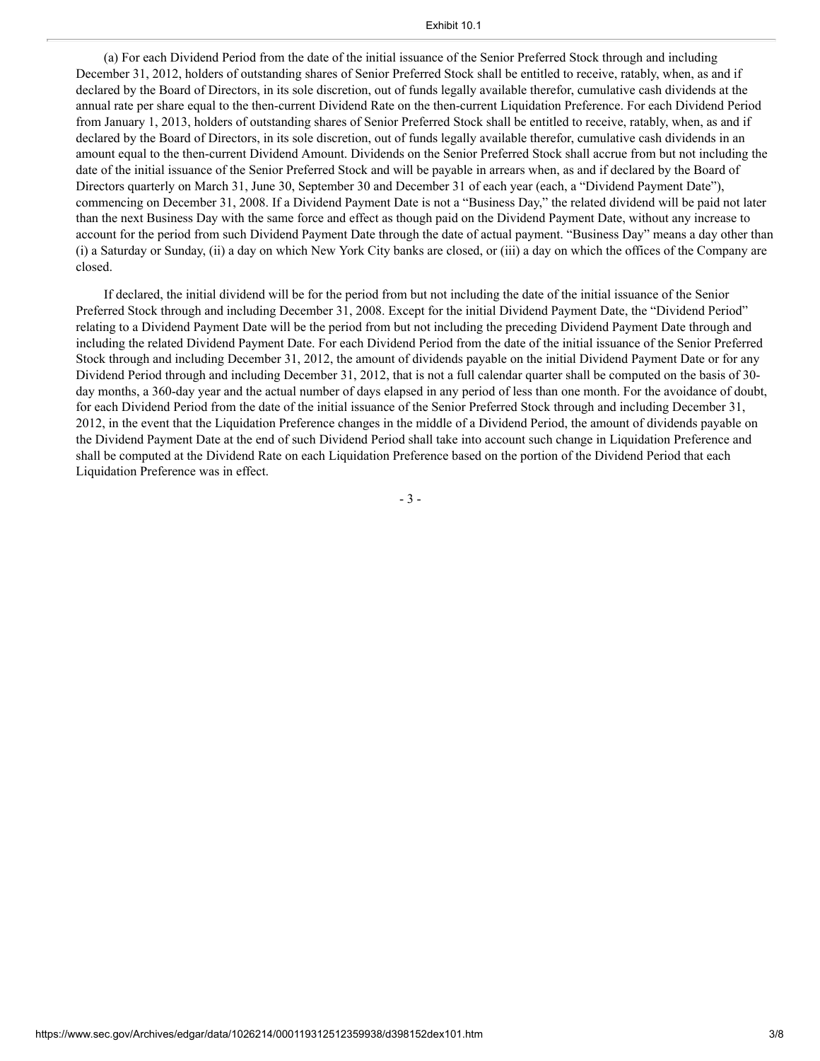(a) For each Dividend Period from the date of the initial issuance of the Senior Preferred Stock through and including December 31, 2012, holders of outstanding shares of Senior Preferred Stock shall be entitled to receive, ratably, when, as and if declared by the Board of Directors, in its sole discretion, out of funds legally available therefor, cumulative cash dividends at the annual rate per share equal to the then-current Dividend Rate on the then-current Liquidation Preference. For each Dividend Period from January 1, 2013, holders of outstanding shares of Senior Preferred Stock shall be entitled to receive, ratably, when, as and if declared by the Board of Directors, in its sole discretion, out of funds legally available therefor, cumulative cash dividends in an amount equal to the then-current Dividend Amount. Dividends on the Senior Preferred Stock shall accrue from but not including the date of the initial issuance of the Senior Preferred Stock and will be payable in arrears when, as and if declared by the Board of Directors quarterly on March 31, June 30, September 30 and December 31 of each year (each, a "Dividend Payment Date"), commencing on December 31, 2008. If a Dividend Payment Date is not a "Business Day," the related dividend will be paid not later than the next Business Day with the same force and effect as though paid on the Dividend Payment Date, without any increase to account for the period from such Dividend Payment Date through the date of actual payment. "Business Day" means a day other than (i) a Saturday or Sunday, (ii) a day on which New York City banks are closed, or (iii) a day on which the offices of the Company are closed.

If declared, the initial dividend will be for the period from but not including the date of the initial issuance of the Senior Preferred Stock through and including December 31, 2008. Except for the initial Dividend Payment Date, the "Dividend Period" relating to a Dividend Payment Date will be the period from but not including the preceding Dividend Payment Date through and including the related Dividend Payment Date. For each Dividend Period from the date of the initial issuance of the Senior Preferred Stock through and including December 31, 2012, the amount of dividends payable on the initial Dividend Payment Date or for any Dividend Period through and including December 31, 2012, that is not a full calendar quarter shall be computed on the basis of 30 day months, a 360-day year and the actual number of days elapsed in any period of less than one month. For the avoidance of doubt, for each Dividend Period from the date of the initial issuance of the Senior Preferred Stock through and including December 31, 2012, in the event that the Liquidation Preference changes in the middle of a Dividend Period, the amount of dividends payable on the Dividend Payment Date at the end of such Dividend Period shall take into account such change in Liquidation Preference and shall be computed at the Dividend Rate on each Liquidation Preference based on the portion of the Dividend Period that each Liquidation Preference was in effect.

- 3 -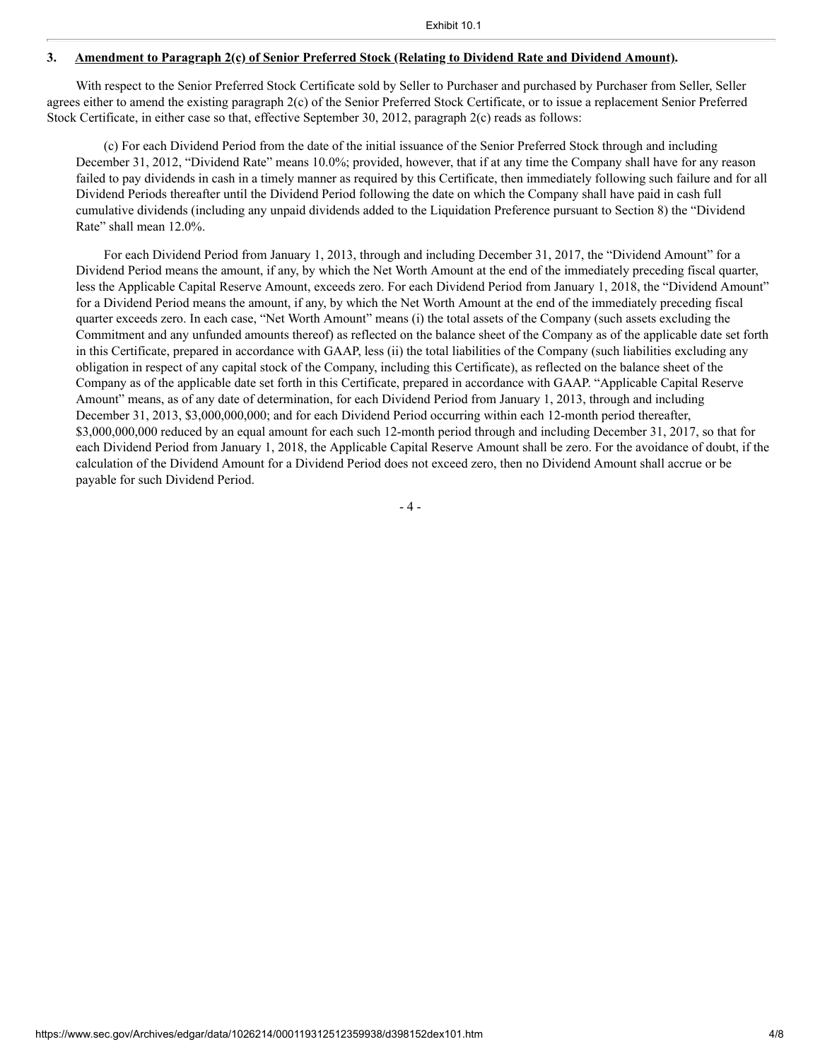## **3. Amendment to Paragraph 2(c) of Senior Preferred Stock (Relating to Dividend Rate and Dividend Amount).**

With respect to the Senior Preferred Stock Certificate sold by Seller to Purchaser and purchased by Purchaser from Seller, Seller agrees either to amend the existing paragraph 2(c) of the Senior Preferred Stock Certificate, or to issue a replacement Senior Preferred Stock Certificate, in either case so that, effective September 30, 2012, paragraph 2(c) reads as follows:

(c) For each Dividend Period from the date of the initial issuance of the Senior Preferred Stock through and including December 31, 2012, "Dividend Rate" means 10.0%; provided, however, that if at any time the Company shall have for any reason failed to pay dividends in cash in a timely manner as required by this Certificate, then immediately following such failure and for all Dividend Periods thereafter until the Dividend Period following the date on which the Company shall have paid in cash full cumulative dividends (including any unpaid dividends added to the Liquidation Preference pursuant to Section 8) the "Dividend Rate" shall mean 12.0%.

For each Dividend Period from January 1, 2013, through and including December 31, 2017, the "Dividend Amount" for a Dividend Period means the amount, if any, by which the Net Worth Amount at the end of the immediately preceding fiscal quarter, less the Applicable Capital Reserve Amount, exceeds zero. For each Dividend Period from January 1, 2018, the "Dividend Amount" for a Dividend Period means the amount, if any, by which the Net Worth Amount at the end of the immediately preceding fiscal quarter exceeds zero. In each case, "Net Worth Amount" means (i) the total assets of the Company (such assets excluding the Commitment and any unfunded amounts thereof) as reflected on the balance sheet of the Company as of the applicable date set forth in this Certificate, prepared in accordance with GAAP, less (ii) the total liabilities of the Company (such liabilities excluding any obligation in respect of any capital stock of the Company, including this Certificate), as reflected on the balance sheet of the Company as of the applicable date set forth in this Certificate, prepared in accordance with GAAP. "Applicable Capital Reserve Amount" means, as of any date of determination, for each Dividend Period from January 1, 2013, through and including December 31, 2013, \$3,000,000,000; and for each Dividend Period occurring within each 12-month period thereafter, \$3,000,000,000 reduced by an equal amount for each such 12-month period through and including December 31, 2017, so that for each Dividend Period from January 1, 2018, the Applicable Capital Reserve Amount shall be zero. For the avoidance of doubt, if the calculation of the Dividend Amount for a Dividend Period does not exceed zero, then no Dividend Amount shall accrue or be payable for such Dividend Period.

- 4 -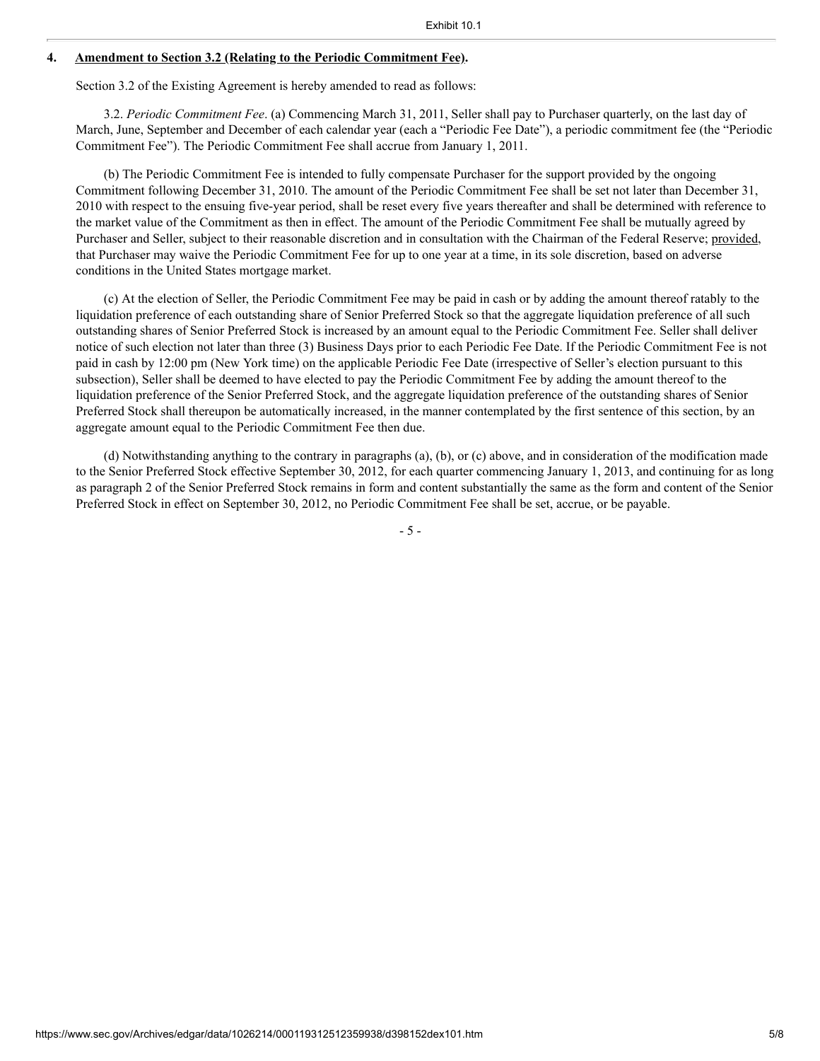#### **4. Amendment to Section 3.2 (Relating to the Periodic Commitment Fee).**

Section 3.2 of the Existing Agreement is hereby amended to read as follows:

3.2. *Periodic Commitment Fee*. (a) Commencing March 31, 2011, Seller shall pay to Purchaser quarterly, on the last day of March, June, September and December of each calendar year (each a "Periodic Fee Date"), a periodic commitment fee (the "Periodic Commitment Fee"). The Periodic Commitment Fee shall accrue from January 1, 2011.

(b) The Periodic Commitment Fee is intended to fully compensate Purchaser for the support provided by the ongoing Commitment following December 31, 2010. The amount of the Periodic Commitment Fee shall be set not later than December 31, 2010 with respect to the ensuing five-year period, shall be reset every five years thereafter and shall be determined with reference to the market value of the Commitment as then in effect. The amount of the Periodic Commitment Fee shall be mutually agreed by Purchaser and Seller, subject to their reasonable discretion and in consultation with the Chairman of the Federal Reserve; provided, that Purchaser may waive the Periodic Commitment Fee for up to one year at a time, in its sole discretion, based on adverse conditions in the United States mortgage market.

(c) At the election of Seller, the Periodic Commitment Fee may be paid in cash or by adding the amount thereof ratably to the liquidation preference of each outstanding share of Senior Preferred Stock so that the aggregate liquidation preference of all such outstanding shares of Senior Preferred Stock is increased by an amount equal to the Periodic Commitment Fee. Seller shall deliver notice of such election not later than three (3) Business Days prior to each Periodic Fee Date. If the Periodic Commitment Fee is not paid in cash by 12:00 pm (New York time) on the applicable Periodic Fee Date (irrespective of Seller's election pursuant to this subsection), Seller shall be deemed to have elected to pay the Periodic Commitment Fee by adding the amount thereof to the liquidation preference of the Senior Preferred Stock, and the aggregate liquidation preference of the outstanding shares of Senior Preferred Stock shall thereupon be automatically increased, in the manner contemplated by the first sentence of this section, by an aggregate amount equal to the Periodic Commitment Fee then due.

(d) Notwithstanding anything to the contrary in paragraphs (a), (b), or (c) above, and in consideration of the modification made to the Senior Preferred Stock effective September 30, 2012, for each quarter commencing January 1, 2013, and continuing for as long as paragraph 2 of the Senior Preferred Stock remains in form and content substantially the same as the form and content of the Senior Preferred Stock in effect on September 30, 2012, no Periodic Commitment Fee shall be set, accrue, or be payable.

- 5 -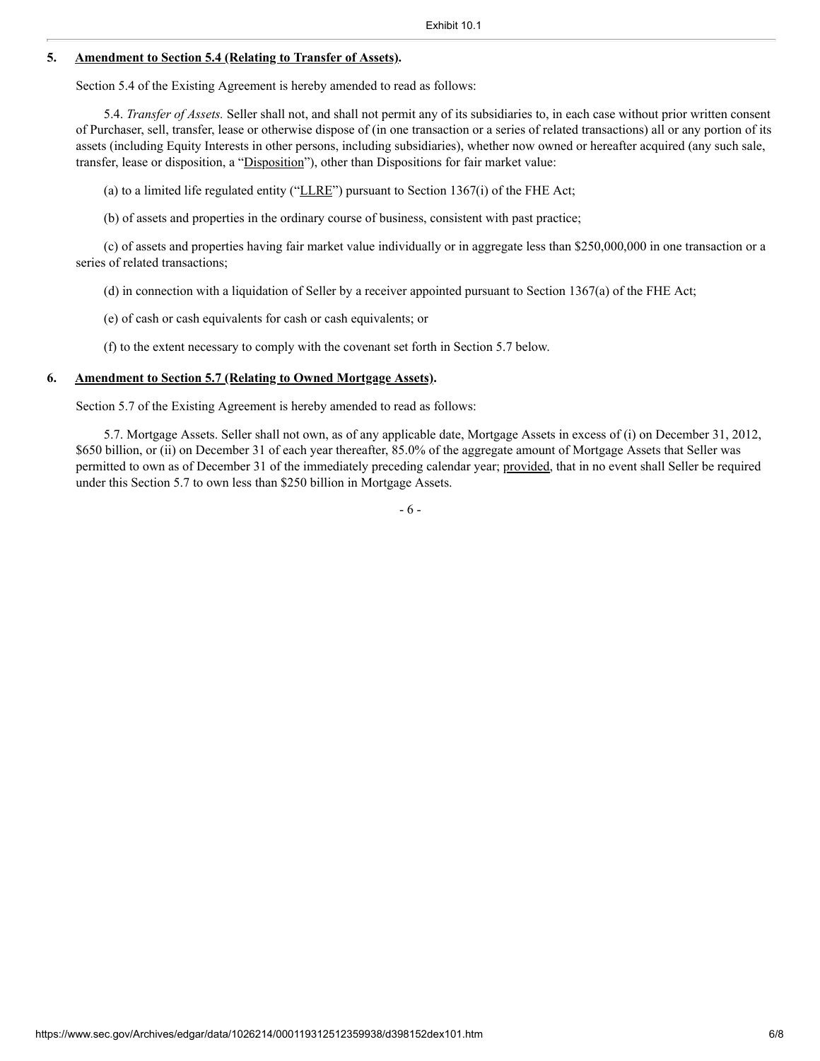### **5. Amendment to Section 5.4 (Relating to Transfer of Assets).**

Section 5.4 of the Existing Agreement is hereby amended to read as follows:

5.4. *Transfer of Assets.* Seller shall not, and shall not permit any of its subsidiaries to, in each case without prior written consent of Purchaser, sell, transfer, lease or otherwise dispose of (in one transaction or a series of related transactions) all or any portion of its assets (including Equity Interests in other persons, including subsidiaries), whether now owned or hereafter acquired (any such sale, transfer, lease or disposition, a "Disposition"), other than Dispositions for fair market value:

(a) to a limited life regulated entity (" $L$ LRE") pursuant to Section 1367(i) of the FHE Act;

(b) of assets and properties in the ordinary course of business, consistent with past practice;

(c) of assets and properties having fair market value individually or in aggregate less than \$250,000,000 in one transaction or a series of related transactions;

(d) in connection with a liquidation of Seller by a receiver appointed pursuant to Section 1367(a) of the FHE Act;

(e) of cash or cash equivalents for cash or cash equivalents; or

(f) to the extent necessary to comply with the covenant set forth in Section 5.7 below.

### **6. Amendment to Section 5.7 (Relating to Owned Mortgage Assets).**

Section 5.7 of the Existing Agreement is hereby amended to read as follows:

5.7. Mortgage Assets. Seller shall not own, as of any applicable date, Mortgage Assets in excess of (i) on December 31, 2012, \$650 billion, or (ii) on December 31 of each year thereafter, 85.0% of the aggregate amount of Mortgage Assets that Seller was permitted to own as of December 31 of the immediately preceding calendar year; provided, that in no event shall Seller be required under this Section 5.7 to own less than \$250 billion in Mortgage Assets.

- 6 -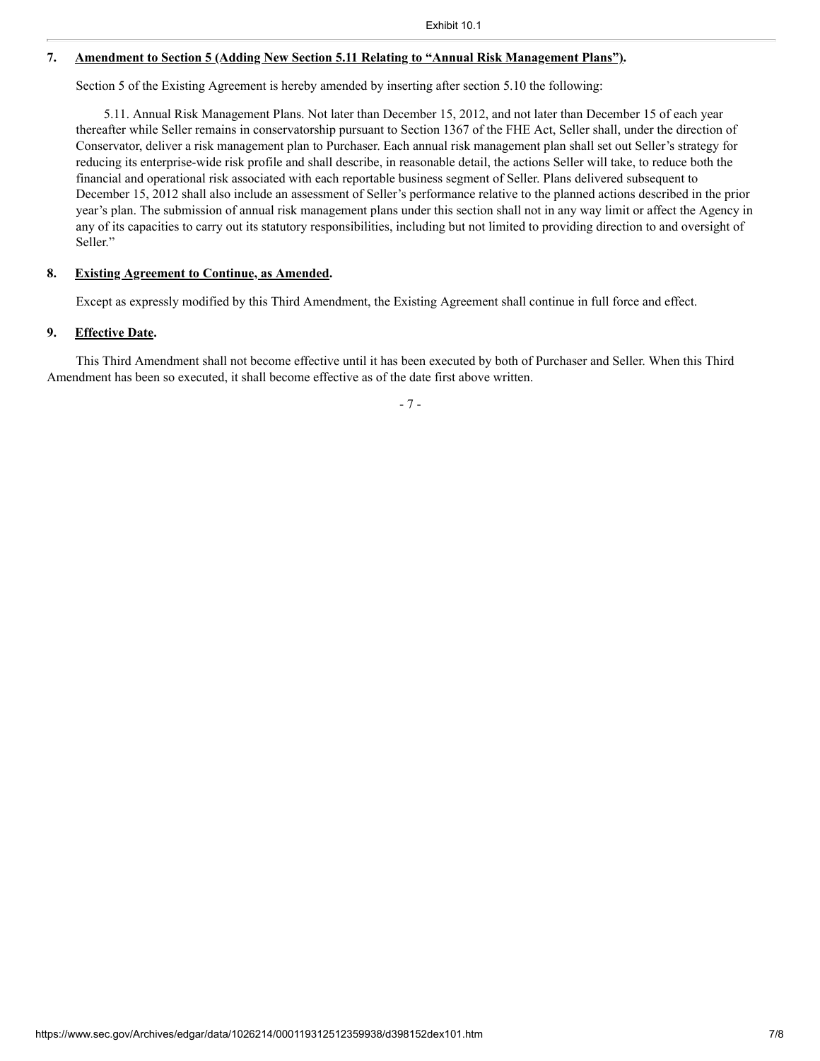## **7. Amendment to Section 5 (Adding New Section 5.11 Relating to "Annual Risk Management Plans").**

Section 5 of the Existing Agreement is hereby amended by inserting after section 5.10 the following:

5.11. Annual Risk Management Plans. Not later than December 15, 2012, and not later than December 15 of each year thereafter while Seller remains in conservatorship pursuant to Section 1367 of the FHE Act, Seller shall, under the direction of Conservator, deliver a risk management plan to Purchaser. Each annual risk management plan shall set out Seller's strategy for reducing its enterprise-wide risk profile and shall describe, in reasonable detail, the actions Seller will take, to reduce both the financial and operational risk associated with each reportable business segment of Seller. Plans delivered subsequent to December 15, 2012 shall also include an assessment of Seller's performance relative to the planned actions described in the prior year's plan. The submission of annual risk management plans under this section shall not in any way limit or affect the Agency in any of its capacities to carry out its statutory responsibilities, including but not limited to providing direction to and oversight of Seller."

### **8. Existing Agreement to Continue, as Amended.**

Except as expressly modified by this Third Amendment, the Existing Agreement shall continue in full force and effect.

# **9. Effective Date.**

This Third Amendment shall not become effective until it has been executed by both of Purchaser and Seller. When this Third Amendment has been so executed, it shall become effective as of the date first above written.

- 7 -